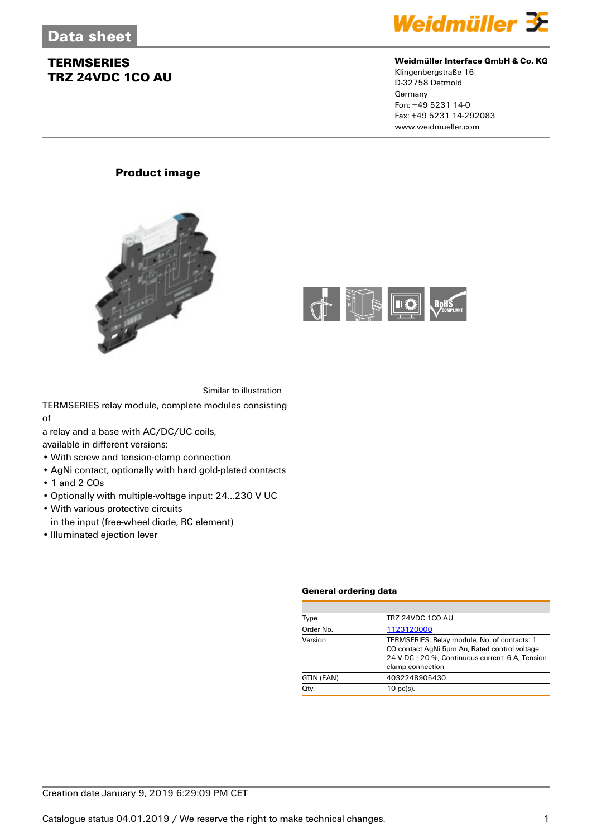

### **Weidmüller Interface GmbH & Co. KG**

Klingenbergstraße 16 D-32758 Detmold Germany Fon: +49 5231 14-0 Fax: +49 5231 14-292083 www.weidmueller.com

### **Product image**





Similar to illustration

TERMSERIES relay module, complete modules consisting of

a relay and a base with AC/DC/UC coils,

available in different versions:

- With screw and tension-clamp connection
- AgNi contact, optionally with hard gold-plated contacts
- 1 and 2 COs
- Optionally with multiple-voltage input: 24...230 V UC
- With various protective circuits
- in the input (free-wheel diode, RC element)
- Illuminated ejection lever

#### **General ordering data**

| Type       | TRZ 24VDC 1CO AU                                                                                                                                                      |
|------------|-----------------------------------------------------------------------------------------------------------------------------------------------------------------------|
| Order No.  | 1123120000                                                                                                                                                            |
| Version    | TERMSERIES, Relay module, No. of contacts: 1<br>CO contact AgNi 5um Au, Rated control voltage:<br>24 V DC ±20 %. Continuous current: 6 A. Tension<br>clamp connection |
| GTIN (EAN) | 4032248905430                                                                                                                                                         |
| Qty.       | $10$ pc(s).                                                                                                                                                           |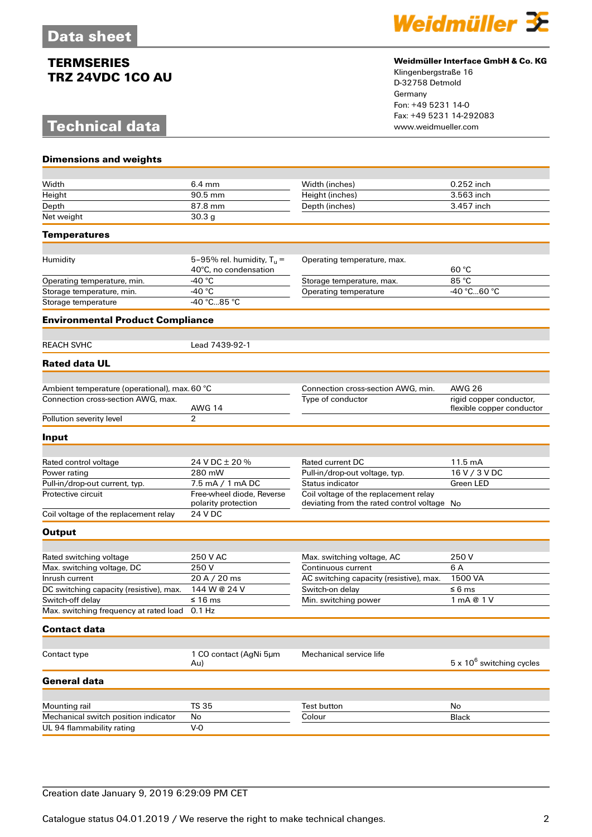# **Technical data**

**Dimensions and weights**



### **Weidmüller Interface GmbH & Co. KG**

Klingenbergstraße 16 D-32758 Detmold Germany Fon: +49 5231 14-0 Fax: +49 5231 14-292083

| Width                                                             | $6.4 \text{ mm}$                                      | Width (inches)                                                                       | 0.252 inch                       |
|-------------------------------------------------------------------|-------------------------------------------------------|--------------------------------------------------------------------------------------|----------------------------------|
| Height                                                            | 90.5 mm                                               | Height (inches)                                                                      | 3.563 inch                       |
| Depth                                                             | 87.8 mm                                               | Depth (inches)                                                                       | 3.457 inch                       |
| Net weight                                                        | 30.3 <sub>g</sub>                                     |                                                                                      |                                  |
| <b>Temperatures</b>                                               |                                                       |                                                                                      |                                  |
|                                                                   |                                                       |                                                                                      |                                  |
| Humidity                                                          | 5-95% rel. humidity, $T_u =$<br>40°C, no condensation | Operating temperature, max.                                                          | 60 °C                            |
| Operating temperature, min.                                       | $-40 °C$                                              | Storage temperature, max.                                                            | 85 °C                            |
| Storage temperature, min.                                         | -40 °C                                                | Operating temperature                                                                | -40 °C60 °C                      |
| Storage temperature                                               | -40 °C85 °C                                           |                                                                                      |                                  |
| <b>Environmental Product Compliance</b>                           |                                                       |                                                                                      |                                  |
|                                                                   |                                                       |                                                                                      |                                  |
| <b>REACH SVHC</b>                                                 | Lead 7439-92-1                                        |                                                                                      |                                  |
| <b>Rated data UL</b>                                              |                                                       |                                                                                      |                                  |
| Ambient temperature (operational), max. 60 °C                     |                                                       | Connection cross-section AWG, min.                                                   | <b>AWG 26</b>                    |
| Connection cross-section AWG, max.                                |                                                       | Type of conductor                                                                    | rigid copper conductor,          |
|                                                                   | <b>AWG 14</b>                                         |                                                                                      | flexible copper conductor        |
| Pollution severity level                                          | $\overline{2}$                                        |                                                                                      |                                  |
| Input                                                             |                                                       |                                                                                      |                                  |
|                                                                   |                                                       |                                                                                      |                                  |
| Rated control voltage                                             | 24 V DC ± 20 %                                        | Rated current DC                                                                     | 11.5 mA                          |
| Power rating                                                      | 280 mW                                                | Pull-in/drop-out voltage, typ.                                                       | 16 V / 3 V DC                    |
| Pull-in/drop-out current, typ.                                    | 7.5 mA / 1 mA DC                                      | Status indicator                                                                     | Green LED                        |
| Protective circuit                                                | Free-wheel diode, Reverse<br>polarity protection      | Coil voltage of the replacement relay<br>deviating from the rated control voltage No |                                  |
| Coil voltage of the replacement relay                             | 24 V DC                                               |                                                                                      |                                  |
| <b>Output</b>                                                     |                                                       |                                                                                      |                                  |
|                                                                   |                                                       |                                                                                      |                                  |
| Rated switching voltage                                           | 250 V AC                                              | Max. switching voltage, AC                                                           | 250V                             |
| Max. switching voltage, DC                                        | 250V                                                  | Continuous current                                                                   | 6 A                              |
| Inrush current                                                    | 20 A / 20 ms                                          | AC switching capacity (resistive), max.                                              | 1500 VA                          |
| DC switching capacity (resistive), max.                           | 144 W @ 24 V                                          | Switch-on delay                                                                      | ≤ 6 ms                           |
| Switch-off delay<br>Max. switching frequency at rated load 0.1 Hz | ≤ 16 ms                                               | Min. switching power                                                                 | 1 mA @ 1 V                       |
|                                                                   |                                                       |                                                                                      |                                  |
| <b>Contact data</b>                                               |                                                       |                                                                                      |                                  |
|                                                                   |                                                       |                                                                                      |                                  |
| Contact type                                                      | 1 CO contact (AgNi 5µm<br>Au)                         | Mechanical service life                                                              | $5 \times 10^6$ switching cycles |
| <b>General data</b>                                               |                                                       |                                                                                      |                                  |
|                                                                   |                                                       |                                                                                      |                                  |
| Mounting rail                                                     | <b>TS 35</b>                                          | <b>Test button</b>                                                                   | No                               |
| Mechanical switch position indicator                              | No                                                    | Colour                                                                               | Black                            |
| UL 94 flammability rating                                         | $V-0$                                                 |                                                                                      |                                  |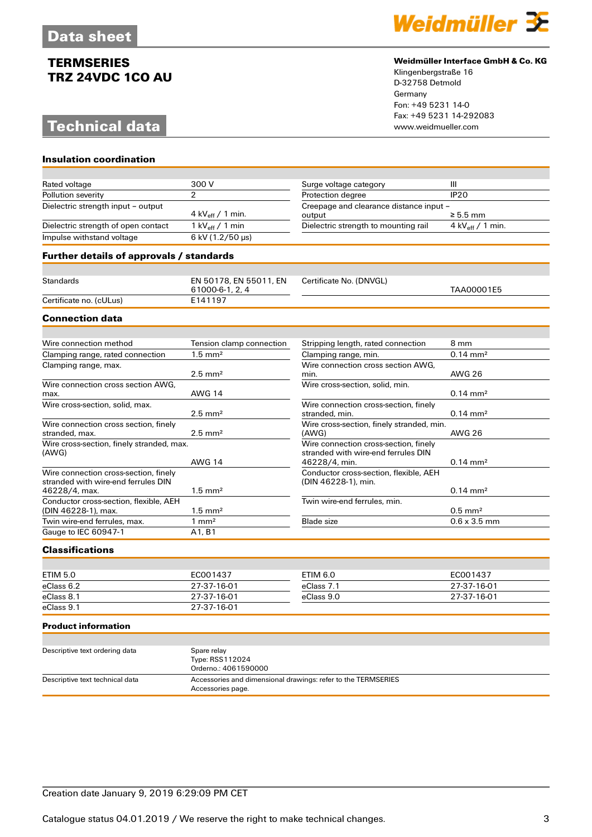# **Technical data**

**Insulation coordination**



#### **Weidmüller Interface GmbH & Co. KG**

Klingenbergstraße 16 D-32758 Detmold Germany Fon: +49 5231 14-0 Fax: +49 5231 14-292083

| Rated voltage                                                                                 | 300 V                                     | Surge voltage category                                                                        | III                        |
|-----------------------------------------------------------------------------------------------|-------------------------------------------|-----------------------------------------------------------------------------------------------|----------------------------|
| Pollution severity                                                                            | 2                                         | Protection degree                                                                             | <b>IP20</b>                |
| Dielectric strength input - output                                                            | 4 kV <sub>eff</sub> / 1 min.              | Creepage and clearance distance input -<br>output                                             | $\geq 5.5$ mm              |
| Dielectric strength of open contact                                                           | 1 kV $_{\rm eff}$ / 1 min                 | Dielectric strength to mounting rail                                                          | 4 kV $_{\rm eff}$ / 1 min. |
| Impulse withstand voltage                                                                     | 6 kV (1.2/50 µs)                          |                                                                                               |                            |
| Further details of approvals / standards                                                      |                                           |                                                                                               |                            |
|                                                                                               |                                           |                                                                                               |                            |
| <b>Standards</b>                                                                              | EN 50178, EN 55011, EN<br>61000-6-1, 2, 4 | Certificate No. (DNVGL)                                                                       | TAA00001E5                 |
| Certificate no. (cULus)                                                                       | E141197                                   |                                                                                               |                            |
| <b>Connection data</b>                                                                        |                                           |                                                                                               |                            |
|                                                                                               |                                           |                                                                                               |                            |
| Wire connection method                                                                        | Tension clamp connection                  | Stripping length, rated connection                                                            | 8 mm                       |
| Clamping range, rated connection                                                              | $1.5 \text{ mm}^2$                        | Clamping range, min.                                                                          | $0.14 \, \text{mm}^2$      |
| Clamping range, max.                                                                          | $2.5$ mm <sup>2</sup>                     | Wire connection cross section AWG.<br>min.                                                    | <b>AWG 26</b>              |
| Wire connection cross section AWG,<br>max.                                                    | <b>AWG 14</b>                             | Wire cross-section, solid, min.                                                               | $0.14 \text{ mm}^2$        |
| Wire cross-section, solid, max.                                                               | $2.5$ mm <sup>2</sup>                     | Wire connection cross-section, finely<br>stranded, min.                                       | $0.14 \text{ mm}^2$        |
| Wire connection cross section, finely<br>stranded, max.                                       | $2.5$ mm <sup>2</sup>                     | Wire cross-section, finely stranded, min.<br>(AWG)                                            | <b>AWG 26</b>              |
| Wire cross-section, finely stranded, max.<br>(AWG)                                            | <b>AWG 14</b>                             | Wire connection cross-section, finely<br>stranded with wire-end ferrules DIN<br>46228/4, min. | $0.14 \, \text{mm}^2$      |
| Wire connection cross-section, finely<br>stranded with wire-end ferrules DIN<br>46228/4, max. | $1.5$ mm <sup>2</sup>                     | Conductor cross-section, flexible, AEH<br>(DIN 46228-1), min.                                 | $0.14 \, \text{mm}^2$      |
| Conductor cross-section, flexible, AEH<br>(DIN 46228-1), max.                                 | $1.5 \text{ mm}^2$                        | Twin wire-end ferrules, min.                                                                  | $0.5$ mm <sup>2</sup>      |

### **Classifications**

Gauge to IEC 60947-1 A1, B1

| ETIM 5.0   | EC001437    | ETIM 6.0   | EC001437    |
|------------|-------------|------------|-------------|
| eClass 6.2 | 27-37-16-01 | eClass 7.1 | 27-37-16-01 |
| eClass 8.1 | 27-37-16-01 | eClass 9.0 | 27-37-16-01 |
| eClass 9.1 | 27-37-16-01 |            |             |

Twin wire-end ferrules, max. 2012 1 mm<sup>2</sup> and Blade size 1 mm<sup>2</sup> Blade size 1.0.6 x 3.5 mm

#### **Product information**

| Descriptive text ordering data  | Spare relay                                                   |
|---------------------------------|---------------------------------------------------------------|
|                                 | Type: RSS112024                                               |
|                                 | Orderno.: 4061590000                                          |
| Descriptive text technical data | Accessories and dimensional drawings: refer to the TERMSERIES |
|                                 | Accessories page.                                             |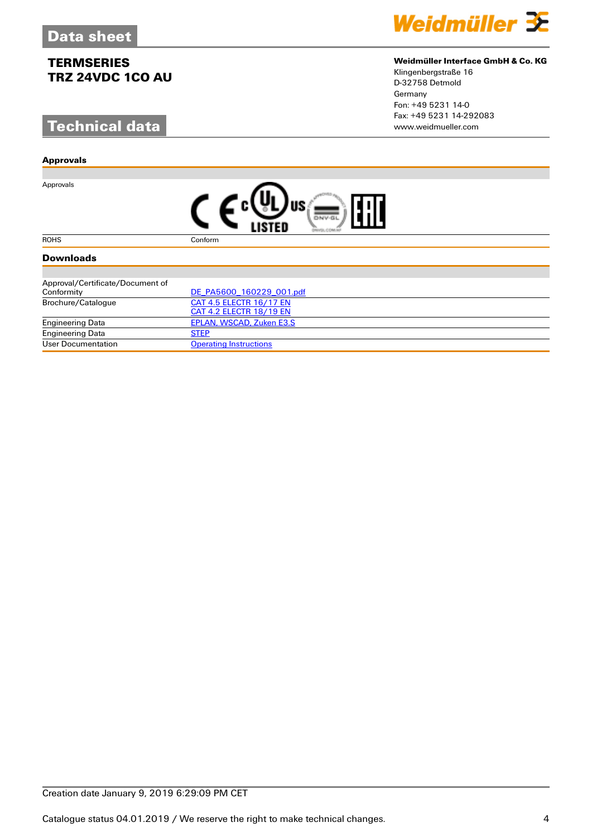# **Technical data**

#### **Approvals**

Approvals



### **Weidmüller Interface GmbH & Co. KG**

Klingenbergstraße 16 D-32758 Detmold Germany Fon: +49 5231 14-0 Fax: +49 5231 14-292083

| FAT |
|-----|
|-----|

ROHS Conform

### **Downloads**

| Approval/Certificate/Document of |                               |
|----------------------------------|-------------------------------|
| Conformity                       | DE PA5600 160229 001.pdf      |
| Brochure/Catalogue               | CAT 4.5 ELECTR 16/17 EN       |
|                                  | CAT 4.2 ELECTR 18/19 EN       |
| <b>Engineering Data</b>          | EPLAN, WSCAD, Zuken E3.S      |
| <b>Engineering Data</b>          | <b>STEP</b>                   |
| User Documentation               | <b>Operating Instructions</b> |

### Creation date January 9, 2019 6:29:09 PM CET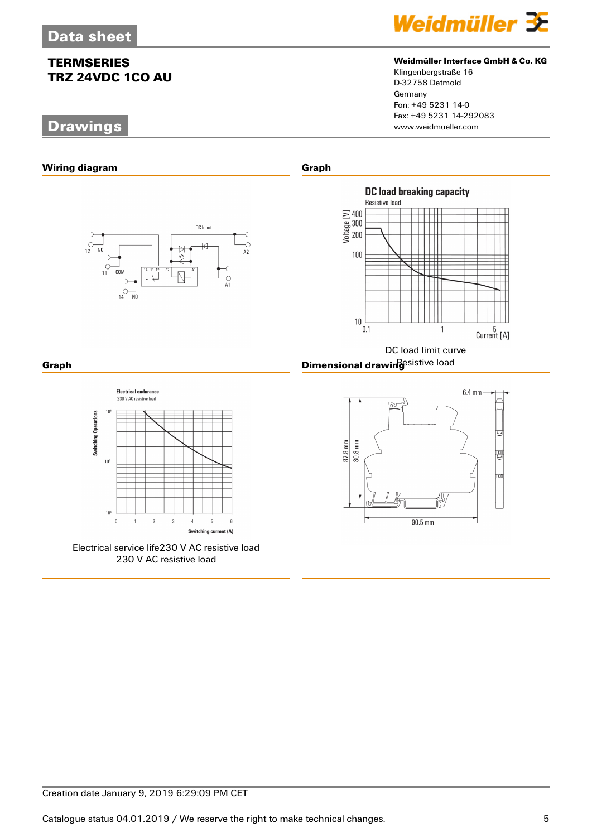# **Drawings**



### **Weidmüller Interface GmbH & Co. KG**

Klingenbergstraße 16 D-32758 Detmold Germany Fon: +49 5231 14-0 Fax: +49 5231 14-292083